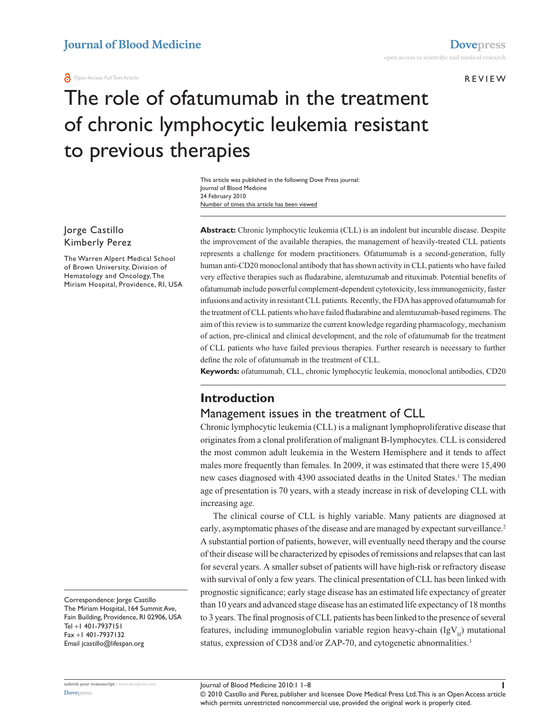r e v i e w

# The role of ofatumumab in the treatment of chronic lymphocytic leukemia resistant to previous therapies

Number of times this article has been viewed This article was published in the following Dove Press journal: Journal of Blood Medicine 24 February 2010

Jorge Castillo Kimberly Perez

The Warren Alpert Medical School of Brown University, Division of Hematology and Oncology, The Miriam Hospital, Providence, RI, USA

Correspondence: Jorge Castillo The Miriam Hospital, 164 Summit Ave, Fain Building, Providence, RI 02906, USA Tel +1 401-7937151 Fax +1 401-7937132 Email jcastillo@lifespan.org

**Abstract:** Chronic lymphocytic leukemia (CLL) is an indolent but incurable disease. Despite the improvement of the available therapies, the management of heavily-treated CLL patients represents a challenge for modern practitioners. Ofatumumab is a second-generation, fully human anti-CD20 monoclonal antibody that has shown activity in CLL patients who have failed very effective therapies such as fludarabine, alemtuzumab and rituximab. Potential benefits of ofatumumab include powerful complement-dependent cytotoxicity, less immunogenicity, faster infusions and activity in resistant CLL patients. Recently, the FDA has approved ofatumumab for the treatment of CLL patients who have failed fludarabine and alemtuzumab-based regimens. The aim of this review is to summarize the current knowledge regarding pharmacology, mechanism of action, pre-clinical and clinical development, and the role of ofatumumab for the treatment of CLL patients who have failed previous therapies. Further research is necessary to further define the role of ofatumumab in the treatment of CLL.

**Keywords:** ofatumumab, CLL, chronic lymphocytic leukemia, monoclonal antibodies, CD20

# **Introduction**

#### Management issues in the treatment of CLL

Chronic lymphocytic leukemia (CLL) is a malignant lymphoproliferative disease that originates from a clonal proliferation of malignant B-lymphocytes. CLL is considered the most common adult leukemia in the Western Hemisphere and it tends to affect males more frequently than females. In 2009, it was estimated that there were 15,490 new cases diagnosed with 4390 associated deaths in the United States.<sup>1</sup> The median age of presentation is 70 years, with a steady increase in risk of developing CLL with increasing age.

The clinical course of CLL is highly variable. Many patients are diagnosed at early, asymptomatic phases of the disease and are managed by expectant surveillance.<sup>2</sup> A substantial portion of patients, however, will eventually need therapy and the course of their disease will be characterized by episodes of remissions and relapses that can last for several years. A smaller subset of patients will have high-risk or refractory disease with survival of only a few years. The clinical presentation of CLL has been linked with prognostic significance; early stage disease has an estimated life expectancy of greater than 10 years and advanced stage disease has an estimated life expectancy of 18 months to 3 years. The final prognosis of CLL patients has been linked to the presence of several features, including immunoglobulin variable region heavy-chain  $(IgV<sub>H</sub>)$  mutational status, expression of CD38 and/or ZAP-70, and cytogenetic abnormalities.<sup>3</sup>

**[Dovepress](www.dovepress.com)**

© 2010 Castillo and Perez, publisher and licensee Dove Medical Press Ltd. This is an Open Access article which permits unrestricted noncommercial use, provided the original work is properly cited.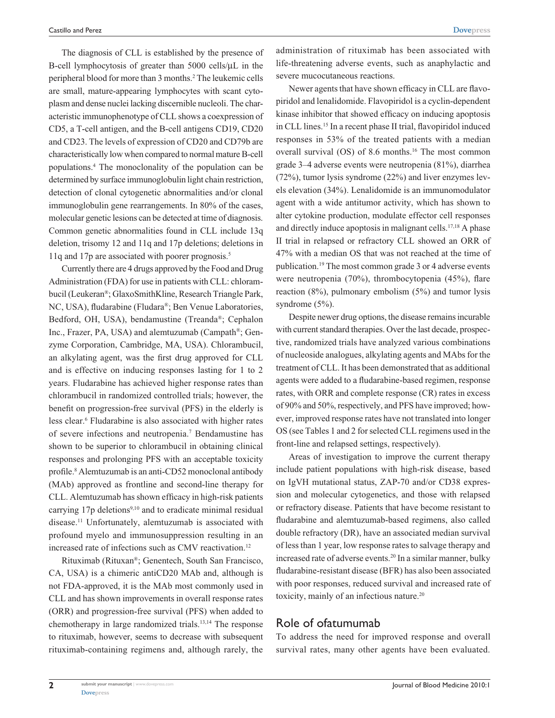The diagnosis of CLL is established by the presence of B-cell lymphocytosis of greater than 5000 cells/µL in the peripheral blood for more than 3 months.<sup>2</sup> The leukemic cells are small, mature-appearing lymphocytes with scant cytoplasm and dense nuclei lacking discernible nucleoli. The characteristic immunophenotype of CLL shows a coexpression of CD5, a T-cell antigen, and the B-cell antigens CD19, CD20 and CD23. The levels of expression of CD20 and CD79b are characteristically low when compared to normal mature B-cell populations.4 The monoclonality of the population can be determined by surface immunoglobulin light chain restriction, detection of clonal cytogenetic abnormalities and/or clonal immunoglobulin gene rearrangements. In 80% of the cases, molecular genetic lesions can be detected at time of diagnosis. Common genetic abnormalities found in CLL include 13q deletion, trisomy 12 and 11q and 17p deletions; deletions in 11q and 17p are associated with poorer prognosis.<sup>5</sup>

Currently there are 4 drugs approved by the Food and Drug Administration (FDA) for use in patients with CLL: chlorambucil (Leukeran®; GlaxoSmithKline, Research Triangle Park, NC, USA), fludarabine (Fludara®; Ben Venue Laboratories, Bedford, OH, USA), bendamustine (Treanda®; Cephalon Inc., Frazer, PA, USA) and alemtuzumab (Campath®; Genzyme Corporation, Cambridge, MA, USA). Chlorambucil, an alkylating agent, was the first drug approved for CLL and is effective on inducing responses lasting for 1 to 2 years. Fludarabine has achieved higher response rates than chlorambucil in randomized controlled trials; however, the benefit on progression-free survival (PFS) in the elderly is less clear.<sup>6</sup> Fludarabine is also associated with higher rates of severe infections and neutropenia.<sup>7</sup> Bendamustine has shown to be superior to chlorambucil in obtaining clinical responses and prolonging PFS with an acceptable toxicity profile.<sup>8</sup> Alemtuzumab is an anti-CD52 monoclonal antibody (MAb) approved as frontline and second-line therapy for CLL. Alemtuzumab has shown efficacy in high-risk patients carrying 17p deletions<sup>9,10</sup> and to eradicate minimal residual disease.11 Unfortunately, alemtuzumab is associated with profound myelo and immunosuppression resulting in an increased rate of infections such as CMV reactivation.<sup>12</sup>

Rituximab (Rituxan®; Genentech, South San Francisco, CA, USA) is a chimeric antiCD20 MAb and, although is not FDA-approved, it is the MAb most commonly used in CLL and has shown improvements in overall response rates (ORR) and progression-free survival (PFS) when added to chemotherapy in large randomized trials.13,14 The response to rituximab, however, seems to decrease with subsequent rituximab-containing regimens and, although rarely, the

administration of rituximab has been associated with life-threatening adverse events, such as anaphylactic and severe mucocutaneous reactions.

Newer agents that have shown efficacy in CLL are flavopiridol and lenalidomide. Flavopiridol is a cyclin-dependent kinase inhibitor that showed efficacy on inducing apoptosis in CLL lines.15 In a recent phase II trial, flavopiridol induced responses in 53% of the treated patients with a median overall survival (OS) of 8.6 months.16 The most common grade 3–4 adverse events were neutropenia (81%), diarrhea (72%), tumor lysis syndrome (22%) and liver enzymes levels elevation (34%). Lenalidomide is an immunomodulator agent with a wide antitumor activity, which has shown to alter cytokine production, modulate effector cell responses and directly induce apoptosis in malignant cells.<sup>17,18</sup> A phase II trial in relapsed or refractory CLL showed an ORR of 47% with a median OS that was not reached at the time of publication.19 The most common grade 3 or 4 adverse events were neutropenia (70%), thrombocytopenia (45%), flare reaction (8%), pulmonary embolism (5%) and tumor lysis syndrome  $(5\%)$ .

Despite newer drug options, the disease remains incurable with current standard therapies. Over the last decade, prospective, randomized trials have analyzed various combinations of nucleoside analogues, alkylating agents and MAbs for the treatment of CLL. It has been demonstrated that as additional agents were added to a fludarabine-based regimen, response rates, with ORR and complete response (CR) rates in excess of 90% and 50%, respectively, and PFS have improved; however, improved response rates have not translated into longer OS (see Tables 1 and 2 for selected CLL regimens used in the front-line and relapsed settings, respectively).

Areas of investigation to improve the current therapy include patient populations with high-risk disease, based on IgVH mutational status, ZAP-70 and/or CD38 expression and molecular cytogenetics, and those with relapsed or refractory disease. Patients that have become resistant to fludarabine and alemtuzumab-based regimens, also called double refractory (DR), have an associated median survival of less than 1 year, low response rates to salvage therapy and increased rate of adverse events.20 In a similar manner, bulky fludarabine-resistant disease (BFR) has also been associated with poor responses, reduced survival and increased rate of toxicity, mainly of an infectious nature.<sup>20</sup>

#### Role of ofatumumab

To address the need for improved response and overall survival rates, many other agents have been evaluated.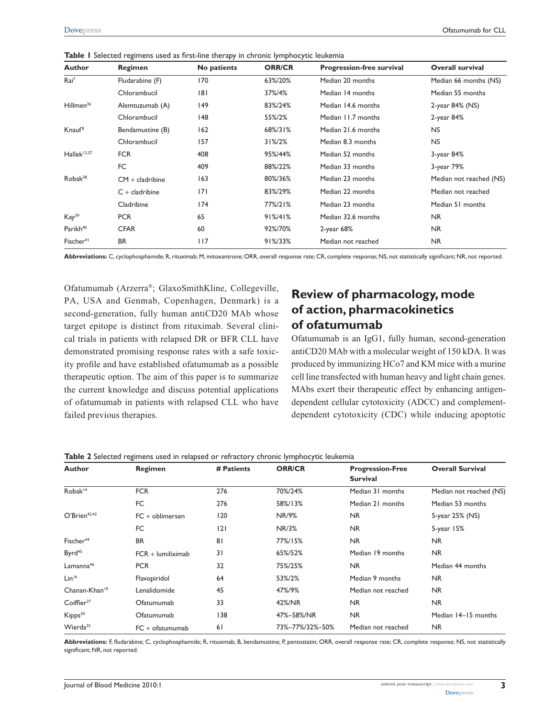| <b>Author</b>           | Regimen           | No patients | <b>ORR/CR</b>      | <b>Progression-free survival</b> | <b>Overall survival</b> |
|-------------------------|-------------------|-------------|--------------------|----------------------------------|-------------------------|
| Rai <sup>7</sup>        | Fludarabine (F)   | 170         | 63%/20%            | Median 20 months                 | Median 66 months (NS)   |
|                         | Chlorambucil      | 181         | 37%/4%             | Median 14 months                 | Median 55 months        |
| Hillmen <sup>36</sup>   | Alemtuzumab (A)   | 149         | 83%/24%            | Median 14.6 months               | 2-year 84% (NS)         |
|                         | Chlorambucil      | 148         | 55%/2%             | Median 11.7 months               | 2-year 84%              |
| Knauf <sup>8</sup>      | Bendamustine (B)  | 162         | 68%/31%            | Median 21.6 months               | <b>NS</b>               |
|                         | Chlorambucil      | 157         | $31\frac{2}{3}2\%$ | Median 8.3 months                | <b>NS</b>               |
| Hallek <sup>13,37</sup> | <b>FCR</b>        | 408         | 95%/44%            | Median 52 months                 | 3-year 84%              |
|                         | FC                | 409         | 88%/22%            | Median 33 months                 | 3-year 79%              |
| $Robak^{38}$            | $CM + cladribine$ | 163         | 80%/36%            | Median 23 months                 | Median not reached (NS) |
|                         | $C +$ cladribine  | 7           | 83%/29%            | Median 22 months                 | Median not reached      |
|                         | Cladribine        | 174         | 77%/21%            | Median 23 months                 | Median 51 months        |
| Kay <sup>39</sup>       | <b>PCR</b>        | 65          | $91\%/41\%$        | Median 32.6 months               | <b>NR</b>               |
| Parikh <sup>40</sup>    | <b>CFAR</b>       | 60          | 92%/70%            | $2$ -year 68%                    | <b>NR</b>               |
| Fischer <sup>41</sup>   | <b>BR</b>         | 117         | 91%/33%            | Median not reached               | <b>NR</b>               |

**Table 1** Selected regimens used as first-line therapy in chronic lymphocytic leukemia

**Abbreviations:** C, cyclophosphamide; R, rituximab; M, mitoxantrone; ORR, overall response rate; CR, complete response; NS, not statistically significant; NR, not reported.

Ofatumumab (Arzerra®; GlaxoSmithKline, Collegeville, PA, USA and Genmab, Copenhagen, Denmark) is a second-generation, fully human antiCD20 MAb whose target epitope is distinct from rituximab. Several clinical trials in patients with relapsed DR or BFR CLL have demonstrated promising response rates with a safe toxicity profile and have established ofatumumab as a possible therapeutic option. The aim of this paper is to summarize the current knowledge and discuss potential applications of ofatumumab in patients with relapsed CLL who have failed previous therapies.

# **Review of pharmacology, mode of action, pharmacokinetics of ofatumumab**

Ofatumumab is an IgG1, fully human, second-generation antiCD20 MAb with a molecular weight of 150 kDA. It was produced by immunizing HCo7 and KM mice with a murine cell line transfected with human heavy and light chain genes. MAbs exert their therapeutic effect by enhancing antigendependent cellular cytotoxicity (ADCC) and complementdependent cytotoxicity (CDC) while inducing apoptotic

| Author                    | Regimen             | # Patients | <b>ORR/CR</b>   | <b>Progression-Free</b><br><b>Survival</b> | <b>Overall Survival</b> |
|---------------------------|---------------------|------------|-----------------|--------------------------------------------|-------------------------|
| Robak <sup>14</sup>       | <b>FCR</b>          | 276        | 70%/24%         | Median 31 months                           | Median not reached (NS) |
|                           | FC                  | 276        | 58%/13%         | Median 21 months                           | Median 53 months        |
| O'Brien <sup>42,43</sup>  | $FC + oblimersen$   | 120        | NR/9%           | <b>NR</b>                                  | 5-year 25% (NS)         |
|                           | FC                  | 2          | <b>NR/3%</b>    | NR.                                        | $5$ -year $15%$         |
| Fischer <sup>44</sup>     | <b>BR</b>           | 81         | 77%/15%         | <b>NR</b>                                  | <b>NR</b>               |
| Byrd <sup>45</sup>        | $FCR +$ lumiliximab | 31         | 65%/52%         | Median 19 months                           | <b>NR</b>               |
| Lamanna <sup>46</sup>     | <b>PCR</b>          | 32         | 75%/25%         | NR.                                        | Median 44 months        |
| Lin <sup>16</sup>         | Flavopiridol        | 64         | 53%/2%          | Median 9 months                            | <b>NR</b>               |
| Chanan-Khan <sup>19</sup> | Lenalidomide        | 45         | 47%/9%          | Median not reached                         | <b>NR</b>               |
| Coiffier <sup>27</sup>    | Ofatumumab          | 33         | 42%/NR          | <b>NR</b>                                  | <b>NR</b>               |
| Kipps <sup>30</sup>       | Ofatumumab          | 138        | 47%-58%/NR      | NR.                                        | Median 14–15 months     |
| Wierda <sup>32</sup>      | $FC + of atumumab$  | 61         | 73%-77%/32%-50% | Median not reached                         | <b>NR</b>               |

**Table 2** Selected regimens used in relapsed or refractory chronic lymphocytic leukemia

**Abbreviations:** F, fludarabine; C, cyclophosphamide; R, rituximab; B, bendamustine; P, pentostatin; ORR, overall response rate; CR, complete response; NS, not statistically significant; NR, not reported.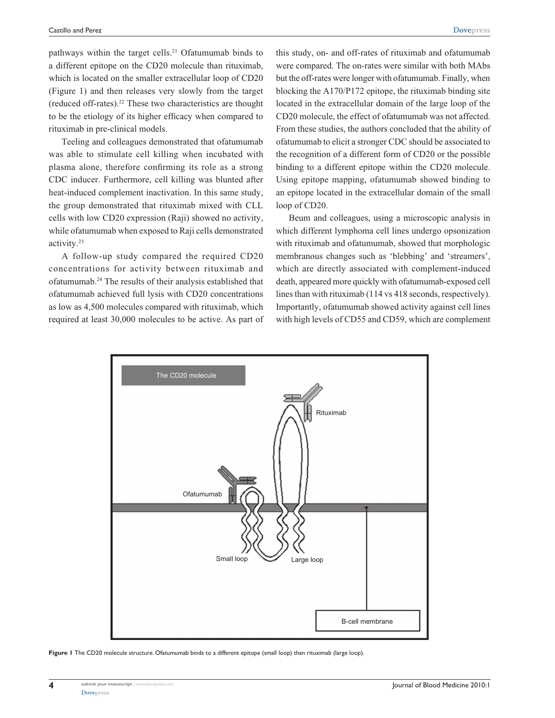pathways within the target cells.<sup>21</sup> Ofatumumab binds to a different epitope on the CD20 molecule than rituximab, which is located on the smaller extracellular loop of CD20 (Figure 1) and then releases very slowly from the target (reduced off-rates).22 These two characteristics are thought to be the etiology of its higher efficacy when compared to rituximab in pre-clinical models.

Teeling and colleagues demonstrated that ofatumumab was able to stimulate cell killing when incubated with plasma alone, therefore confirming its role as a strong CDC inducer. Furthermore, cell killing was blunted after heat-induced complement inactivation. In this same study, the group demonstrated that rituximab mixed with CLL cells with low CD20 expression (Raji) showed no activity, while ofatumumab when exposed to Raji cells demonstrated activity.23

A follow-up study compared the required CD20 concentrations for activity between rituximab and ofatumumab.24 The results of their analysis established that ofatumumab achieved full lysis with CD20 concentrations as low as 4,500 molecules compared with rituximab, which required at least 30,000 molecules to be active. As part of

this study, on- and off-rates of rituximab and ofatumumab were compared. The on-rates were similar with both MAbs but the off-rates were longer with ofatumumab. Finally, when blocking the A170/P172 epitope, the rituximab binding site located in the extracellular domain of the large loop of the CD20 molecule, the effect of ofatumumab was not affected. From these studies, the authors concluded that the ability of ofatumumab to elicit a stronger CDC should be associated to the recognition of a different form of CD20 or the possible binding to a different epitope within the CD20 molecule. Using epitope mapping, ofatumumab showed binding to an epitope located in the extracellular domain of the small loop of CD20.

Beum and colleagues, using a microscopic analysis in which different lymphoma cell lines undergo opsonization with rituximab and ofatumumab, showed that morphologic membranous changes such as 'blebbing' and 'streamers', which are directly associated with complement-induced death, appeared more quickly with ofatumumab-exposed cell lines than with rituximab (114 vs 418 seconds, respectively). Importantly, ofatumumab showed activity against cell lines with high levels of CD55 and CD59, which are complement



**Figure 1** The CD20 molecule structure. Ofatumumab binds to a different epitope (small loop) than rituximab (large loop).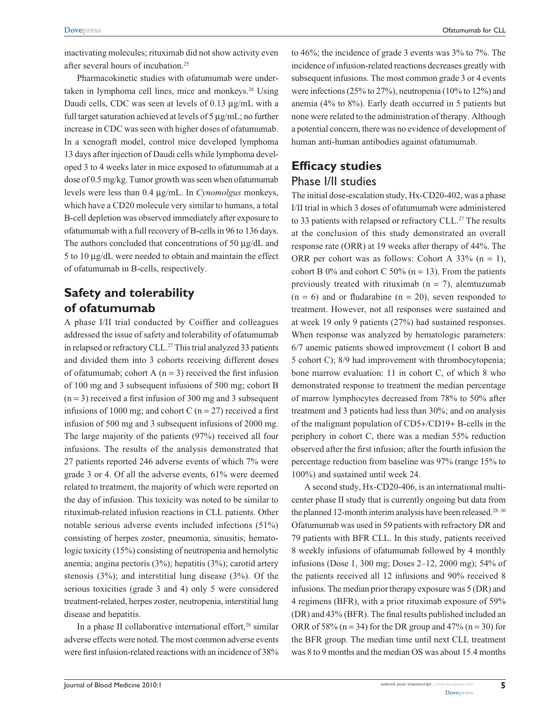Pharmacokinetic studies with ofatumumab were undertaken in lymphoma cell lines, mice and monkeys.<sup>26</sup> Using Daudi cells, CDC was seen at levels of 0.13 µg/mL with a full target saturation achieved at levels of 5 µg/mL; no further increase in CDC was seen with higher doses of ofatumumab. In a xenograft model, control mice developed lymphoma 13 days after injection of Daudi cells while lymphoma developed 3 to 4 weeks later in mice exposed to ofatumumab at a dose of 0.5 mg/kg. Tumor growth was seen when ofatumumab levels were less than 0.4 µg/mL. In *Cynomolgus* monkeys, which have a CD20 molecule very similar to humans, a total B-cell depletion was observed immediately after exposure to ofatumumab with a full recovery of B-cells in 96 to 136 days. The authors concluded that concentrations of 50 µg/dL and 5 to 10 µg/dL were needed to obtain and maintain the effect of ofatumumab in B-cells, respectively.

# **Safety and tolerability of ofatumumab**

A phase I/II trial conducted by Coiffier and colleagues addressed the issue of safety and tolerability of ofatumumab in relapsed or refractory CLL.<sup>27</sup> This trial analyzed 33 patients and divided them into 3 cohorts receiving different doses of ofatumumab; cohort A  $(n = 3)$  received the first infusion of 100 mg and 3 subsequent infusions of 500 mg; cohort B  $(n = 3)$  received a first infusion of 300 mg and 3 subsequent infusions of 1000 mg; and cohort C ( $n = 27$ ) received a first infusion of 500 mg and 3 subsequent infusions of 2000 mg. The large majority of the patients (97%) received all four infusions. The results of the analysis demonstrated that 27 patients reported 246 adverse events of which 7% were grade 3 or 4. Of all the adverse events, 61% were deemed related to treatment, the majority of which were reported on the day of infusion. This toxicity was noted to be similar to rituximab-related infusion reactions in CLL patients. Other notable serious adverse events included infections (51%) consisting of herpes zoster, pneumonia, sinusitis; hematologic toxicity (15%) consisting of neutropenia and hemolytic anemia; angina pectoris (3%); hepatitis (3%); carotid artery stenosis (3%); and interstitial lung disease (3%). Of the serious toxicities (grade 3 and 4) only 5 were considered treatment-related, herpes zoster, neutropenia, interstitial lung disease and hepatitis.

In a phase II collaborative international effort, $28$  similar adverse effects were noted. The most common adverse events were first infusion-related reactions with an incidence of 38% none were related to the administration of therapy. Although a potential concern, there was no evidence of development of human anti-human antibodies against ofatumumab. **Efficacy studies** Phase I/II studies The initial dose-escalation study, Hx-CD20-402, was a phase

to 46%; the incidence of grade 3 events was 3% to 7%. The incidence of infusion-related reactions decreases greatly with subsequent infusions. The most common grade 3 or 4 events were infections (25% to 27%), neutropenia (10% to 12%) and anemia (4% to 8%). Early death occurred in 5 patients but

I/II trial in which 3 doses of ofatumumab were administered to 33 patients with relapsed or refractory CLL.<sup>27</sup> The results at the conclusion of this study demonstrated an overall response rate (ORR) at 19 weeks after therapy of 44%. The ORR per cohort was as follows: Cohort A  $33\%$  (n = 1), cohort B 0% and cohort C 50% (n = 13). From the patients previously treated with rituximab  $(n = 7)$ , alemtuzumab  $(n = 6)$  and or fludarabine  $(n = 20)$ , seven responded to treatment. However, not all responses were sustained and at week 19 only 9 patients (27%) had sustained responses. When response was analyzed by hematologic parameters: 6/7 anemic patients showed improvement (1 cohort B and 5 cohort C); 8/9 had improvement with thrombocytopenia; bone marrow evaluation: 11 in cohort C, of which 8 who demonstrated response to treatment the median percentage of marrow lymphocytes decreased from 78% to 50% after treatment and 3 patients had less than 30%; and on analysis of the malignant population of CD5+/CD19+ B-cells in the periphery in cohort C, there was a median 55% reduction observed after the first infusion; after the fourth infusion the percentage reduction from baseline was 97% (range 15% to 100%) and sustained until week 24.

A second study, Hx-CD20-406, is an international multicenter phase II study that is currently ongoing but data from the planned 12-month interim analysis have been released.<sup>28-30</sup> Ofatumumab was used in 59 patients with refractory DR and 79 patients with BFR CLL. In this study, patients received 8 weekly infusions of ofatumumab followed by 4 monthly infusions (Dose 1, 300 mg; Doses 2–12, 2000 mg); 54% of the patients received all 12 infusions and 90% received 8 infusions. The median prior therapy exposure was 5 (DR) and 4 regimens (BFR), with a prior rituximab exposure of 59% (DR) and 43% (BFR). The final results published included an ORR of 58% (n = 34) for the DR group and 47% (n = 30) for the BFR group. The median time until next CLL treatment was 8 to 9 months and the median OS was about 15.4 months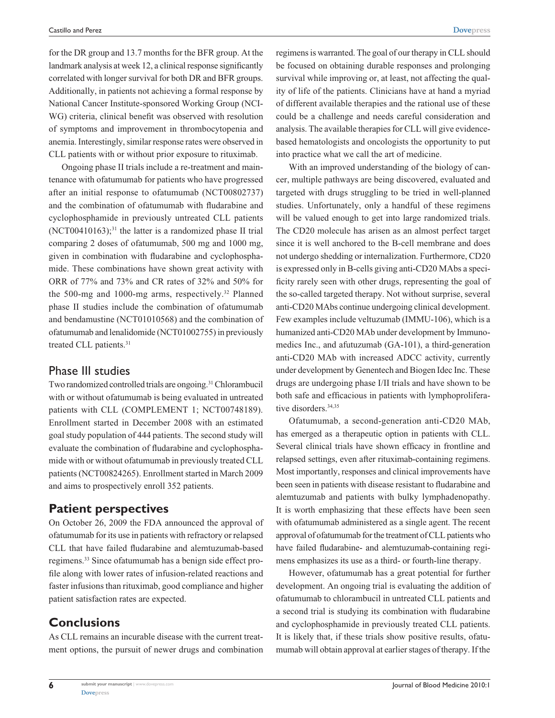for the DR group and 13.7 months for the BFR group. At the landmark analysis at week 12, a clinical response significantly correlated with longer survival for both DR and BFR groups. Additionally, in patients not achieving a formal response by National Cancer Institute-sponsored Working Group (NCI-WG) criteria, clinical benefit was observed with resolution of symptoms and improvement in thrombocytopenia and anemia. Interestingly, similar response rates were observed in CLL patients with or without prior exposure to rituximab.

Ongoing phase II trials include a re-treatment and maintenance with ofatumumab for patients who have progressed after an initial response to ofatumumab (NCT00802737) and the combination of ofatumumab with fludarabine and cyclophosphamide in previously untreated CLL patients  $(NCT00410163);$ <sup>31</sup> the latter is a randomized phase II trial comparing 2 doses of ofatumumab, 500 mg and 1000 mg, given in combination with fludarabine and cyclophosphamide. These combinations have shown great activity with ORR of 77% and 73% and CR rates of 32% and 50% for the 500-mg and 1000-mg arms, respectively.<sup>32</sup> Planned phase II studies include the combination of ofatumumab and bendamustine (NCT01010568) and the combination of ofatumumab and lenalidomide (NCT01002755) in previously treated CLL patients.31

### Phase III studies

Two randomized controlled trials are ongoing.31 Chlorambucil with or without ofatumumab is being evaluated in untreated patients with CLL (COMPLEMENT 1; NCT00748189). Enrollment started in December 2008 with an estimated goal study population of 444 patients. The second study will evaluate the combination of fludarabine and cyclophosphamide with or without ofatumumab in previously treated CLL patients (NCT00824265). Enrollment started in March 2009 and aims to prospectively enroll 352 patients.

### **Patient perspectives**

On October 26, 2009 the FDA announced the approval of ofatumumab for its use in patients with refractory or relapsed CLL that have failed fludarabine and alemtuzumab-based regimens.33 Since ofatumumab has a benign side effect profile along with lower rates of infusion-related reactions and faster infusions than rituximab, good compliance and higher patient satisfaction rates are expected.

# **Conclusions**

As CLL remains an incurable disease with the current treatment options, the pursuit of newer drugs and combination

regimens is warranted. The goal of our therapy in CLL should be focused on obtaining durable responses and prolonging survival while improving or, at least, not affecting the quality of life of the patients. Clinicians have at hand a myriad of different available therapies and the rational use of these could be a challenge and needs careful consideration and analysis. The available therapies for CLL will give evidencebased hematologists and oncologists the opportunity to put into practice what we call the art of medicine.

With an improved understanding of the biology of cancer, multiple pathways are being discovered, evaluated and targeted with drugs struggling to be tried in well-planned studies. Unfortunately, only a handful of these regimens will be valued enough to get into large randomized trials. The CD20 molecule has arisen as an almost perfect target since it is well anchored to the B-cell membrane and does not undergo shedding or internalization. Furthermore, CD20 is expressed only in B-cells giving anti-CD20 MAbs a specificity rarely seen with other drugs, representing the goal of the so-called targeted therapy. Not without surprise, several anti-CD20 MAbs continue undergoing clinical development. Few examples include veltuzumab (IMMU-106), which is a humanized anti-CD20 MAb under development by Immunomedics Inc., and afutuzumab (GA-101), a third-generation anti-CD20 MAb with increased ADCC activity, currently under development by Genentech and Biogen Idec Inc. These drugs are undergoing phase I/II trials and have shown to be both safe and efficacious in patients with lymphoproliferative disorders.<sup>34,35</sup>

Ofatumumab, a second-generation anti-CD20 MAb, has emerged as a therapeutic option in patients with CLL. Several clinical trials have shown efficacy in frontline and relapsed settings, even after rituximab-containing regimens. Most importantly, responses and clinical improvements have been seen in patients with disease resistant to fludarabine and alemtuzumab and patients with bulky lymphadenopathy. It is worth emphasizing that these effects have been seen with ofatumumab administered as a single agent. The recent approval of ofatumumab for the treatment of CLL patients who have failed fludarabine- and alemtuzumab-containing regimens emphasizes its use as a third- or fourth-line therapy.

However, ofatumumab has a great potential for further development. An ongoing trial is evaluating the addition of ofatumumab to chlorambucil in untreated CLL patients and a second trial is studying its combination with fludarabine and cyclophosphamide in previously treated CLL patients. It is likely that, if these trials show positive results, ofatumumab will obtain approval at earlier stages of therapy. If the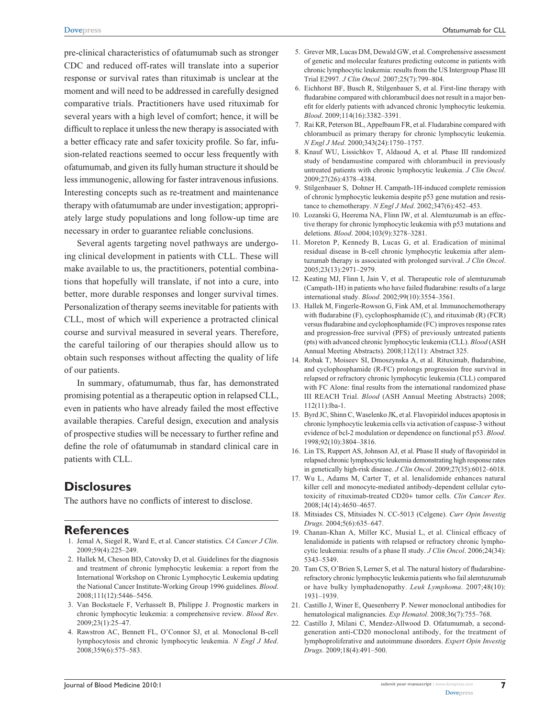pre-clinical characteristics of ofatumumab such as stronger CDC and reduced off-rates will translate into a superior response or survival rates than rituximab is unclear at the moment and will need to be addressed in carefully designed comparative trials. Practitioners have used rituximab for several years with a high level of comfort; hence, it will be difficult to replace it unless the new therapy is associated with a better efficacy rate and safer toxicity profile. So far, infusion-related reactions seemed to occur less frequently with ofatumumab, and given its fully human structure it should be less immunogenic, allowing for faster intravenous infusions. Interesting concepts such as re-treatment and maintenance therapy with ofatumumab are under investigation; appropriately large study populations and long follow-up time are necessary in order to guarantee reliable conclusions.

Several agents targeting novel pathways are undergoing clinical development in patients with CLL. These will make available to us, the practitioners, potential combinations that hopefully will translate, if not into a cure, into better, more durable responses and longer survival times. Personalization of therapy seems inevitable for patients with CLL, most of which will experience a protracted clinical course and survival measured in several years. Therefore, the careful tailoring of our therapies should allow us to obtain such responses without affecting the quality of life of our patients.

In summary, ofatumumab, thus far, has demonstrated promising potential as a therapeutic option in relapsed CLL, even in patients who have already failed the most effective available therapies. Careful design, execution and analysis of prospective studies will be necessary to further refine and define the role of ofatumumab in standard clinical care in patients with CLL.

## **Disclosures**

The authors have no conflicts of interest to disclose.

## **References**

- 1. Jemal A, Siegel R, Ward E, et al. Cancer statistics. *CA Cancer J Clin*. 2009;59(4):225–249.
- 2. Hallek M, Cheson BD, Catovsky D, et al. Guidelines for the diagnosis and treatment of chronic lymphocytic leukemia: a report from the International Workshop on Chronic Lymphocytic Leukemia updating the National Cancer Institute-Working Group 1996 guidelines. *Blood*. 2008;111(12):5446–5456.
- 3. Van Bockstaele F, Verhasselt B, Philippe J. Prognostic markers in chronic lymphocytic leukemia: a comprehensive review. *Blood Rev*. 2009;23(1):25–47.
- 4. Rawstron AC, Bennett FL, O'Connor SJ, et al. Monoclonal B-cell lymphocytosis and chronic lymphocytic leukemia. *N Engl J Med*. 2008;359(6):575–583.
- 5. Grever MR, Lucas DM, Dewald GW, et al. Comprehensive assessment of genetic and molecular features predicting outcome in patients with chronic lymphocytic leukemia: results from the US Intergroup Phase III Trial E2997. *J Clin Oncol*. 2007;25(7):799–804.
- 6. Eichhorst BF, Busch R, Stilgenbauer S, et al. First-line therapy with fludarabine compared with chlorambucil does not result in a major benefit for elderly patients with advanced chronic lymphocytic leukemia. *Blood*. 2009;114(16):3382–3391.
- 7. Rai KR, Peterson BL, Appelbaum FR, et al. Fludarabine compared with chlorambucil as primary therapy for chronic lymphocytic leukemia. *N Engl J Med*. 2000;343(24):1750–1757.
- 8. Knauf WU, Lissichkov T, Aldaoud A, et al. Phase III randomized study of bendamustine compared with chlorambucil in previously untreated patients with chronic lymphocytic leukemia. *J Clin Oncol*. 2009;27(26):4378–4384.
- 9. Stilgenbauer S, Dohner H. Campath-1H-induced complete remission of chronic lymphocytic leukemia despite p53 gene mutation and resistance to chemotherapy. *N Engl J Med*. 2002;347(6):452–453.
- 10. Lozanski G, Heerema NA, Flinn IW, et al. Alemtuzumab is an effective therapy for chronic lymphocytic leukemia with p53 mutations and deletions. *Blood*. 2004;103(9):3278–3281.
- 11. Moreton P, Kennedy B, Lucas G, et al. Eradication of minimal residual disease in B-cell chronic lymphocytic leukemia after alemtuzumab therapy is associated with prolonged survival. *J Clin Oncol*. 2005;23(13):2971–2979.
- 12. Keating MJ, Flinn I, Jain V, et al. Therapeutic role of alemtuzumab (Campath-1H) in patients who have failed fludarabine: results of a large international study. *Blood*. 2002;99(10):3554–3561.
- 13. Hallek M, Fingerle-Rowson G, Fink AM, et al. Immunochemotherapy with fludarabine (F), cyclophosphamide (C), and rituximab (R) (FCR) versus fludarabine and cyclophosphamide (FC) improves response rates and progression-free survival (PFS) of previously untreated patients (pts) with advanced chronic lymphocytic leukemia (CLL). *Blood* (ASH Annual Meeting Abstracts). 2008;112(11): Abstract 325.
- 14. Robak T, Moiseev SI, Dmoszynska A, et al. Rituximab, fludarabine, and cyclophosphamide (R-FC) prolongs progression free survival in relapsed or refractory chronic lymphocytic leukemia (CLL) compared with FC Alone: final results from the international randomized phase III REACH Trial. *Blood* (ASH Annual Meeting Abstracts) 2008; 112(11):lba-1.
- 15. Byrd JC, Shinn C, Waselenko JK, et al. Flavopiridol induces apoptosis in chronic lymphocytic leukemia cells via activation of caspase-3 without evidence of bcl-2 modulation or dependence on functional p53. *Blood*. 1998;92(10):3804–3816.
- 16. Lin TS, Ruppert AS, Johnson AJ, et al. Phase II study of flavopiridol in relapsed chronic lymphocytic leukemia demonstrating high response rates in genetically high-risk disease. *J Clin Oncol*. 2009;27(35):6012–6018.
- 17. Wu L, Adams M, Carter T, et al. lenalidomide enhances natural killer cell and monocyte-mediated antibody-dependent cellular cytotoxicity of rituximab-treated CD20+ tumor cells. *Clin Cancer Res*. 2008;14(14):4650–4657.
- 18. Mitsiades CS, Mitsiades N. CC-5013 (Celgene). *Curr Opin Investig Drugs*. 2004;5(6):635–647.
- 19. Chanan-Khan A, Miller KC, Musial L, et al. Clinical efficacy of lenalidomide in patients with relapsed or refractory chronic lymphocytic leukemia: results of a phase II study. *J Clin Oncol*. 2006;24(34): 5343–5349.
- 20. Tam CS, O'Brien S, Lerner S, et al. The natural history of fludarabinerefractory chronic lymphocytic leukemia patients who fail alemtuzumab or have bulky lymphadenopathy. *Leuk Lymphoma*. 2007;48(10): 1931–1939.
- 21. Castillo J, Winer E, Quesenberry P. Newer monoclonal antibodies for hematological malignancies. *Exp Hematol*. 2008;36(7):755–768.
- 22. Castillo J, Milani C, Mendez-Allwood D. Ofatumumab, a secondgeneration anti-CD20 monoclonal antibody, for the treatment of lymphoproliferative and autoimmune disorders. *Expert Opin Investig Drugs*. 2009;18(4):491–500.